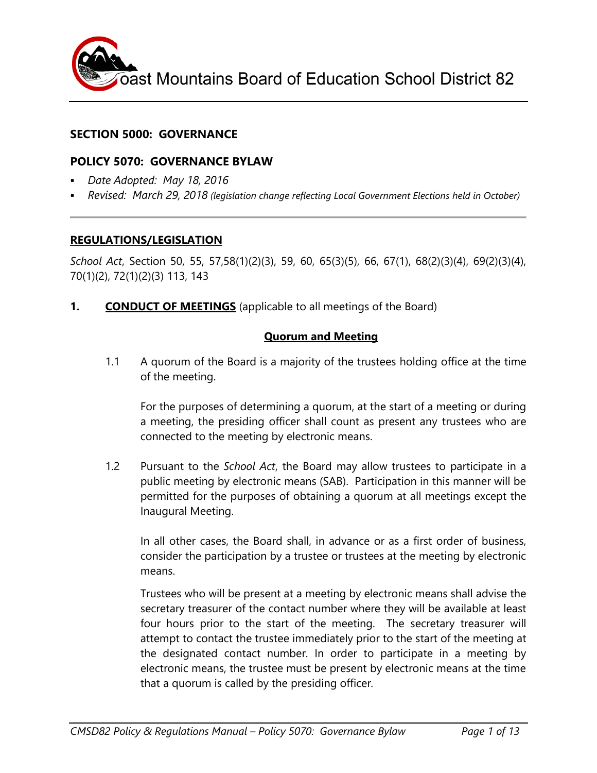

# **SECTION 5000: GOVERNANCE**

# **POLICY 5070: GOVERNANCE BYLAW**

- *Date Adopted: May 18, 2016*
- *Revised: March 29, 2018 (legislation change reflecting Local Government Elections held in October)*

#### **REGULATIONS/LEGISLATION**

*School Act*, Section 50, 55, 57,58(1)(2)(3), 59, 60, 65(3)(5), 66, 67(1), 68(2)(3)(4), 69(2)(3)(4), 70(1)(2), 72(1)(2)(3) 113, 143

**1. CONDUCT OF MEETINGS** (applicable to all meetings of the Board)

# **Quorum and Meeting**

1.1 A quorum of the Board is a majority of the trustees holding office at the time of the meeting.

For the purposes of determining a quorum, at the start of a meeting or during a meeting, the presiding officer shall count as present any trustees who are connected to the meeting by electronic means.

1.2 Pursuant to the *School Act*, the Board may allow trustees to participate in a public meeting by electronic means (SAB). Participation in this manner will be permitted for the purposes of obtaining a quorum at all meetings except the Inaugural Meeting.

In all other cases, the Board shall, in advance or as a first order of business, consider the participation by a trustee or trustees at the meeting by electronic means.

Trustees who will be present at a meeting by electronic means shall advise the secretary treasurer of the contact number where they will be available at least four hours prior to the start of the meeting. The secretary treasurer will attempt to contact the trustee immediately prior to the start of the meeting at the designated contact number. In order to participate in a meeting by electronic means, the trustee must be present by electronic means at the time that a quorum is called by the presiding officer*.*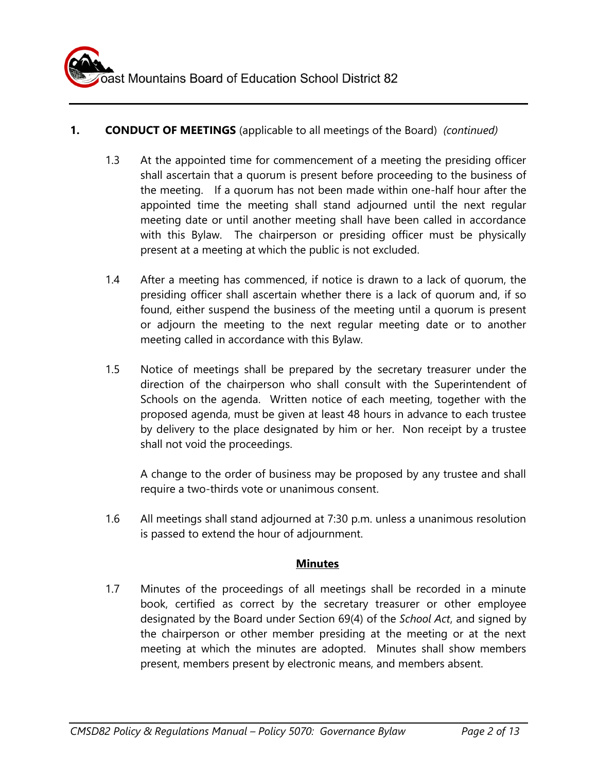# **1. CONDUCT OF MEETINGS** (applicable to all meetings of the Board) *(continued)*

- 1.3 At the appointed time for commencement of a meeting the presiding officer shall ascertain that a quorum is present before proceeding to the business of the meeting. If a quorum has not been made within one-half hour after the appointed time the meeting shall stand adjourned until the next regular meeting date or until another meeting shall have been called in accordance with this Bylaw. The chairperson or presiding officer must be physically present at a meeting at which the public is not excluded.
- 1.4 After a meeting has commenced, if notice is drawn to a lack of quorum, the presiding officer shall ascertain whether there is a lack of quorum and, if so found, either suspend the business of the meeting until a quorum is present or adjourn the meeting to the next regular meeting date or to another meeting called in accordance with this Bylaw.
- 1.5 Notice of meetings shall be prepared by the secretary treasurer under the direction of the chairperson who shall consult with the Superintendent of Schools on the agenda. Written notice of each meeting, together with the proposed agenda, must be given at least 48 hours in advance to each trustee by delivery to the place designated by him or her. Non receipt by a trustee shall not void the proceedings.

A change to the order of business may be proposed by any trustee and shall require a two-thirds vote or unanimous consent.

1.6 All meetings shall stand adjourned at 7:30 p.m. unless a unanimous resolution is passed to extend the hour of adjournment.

# **Minutes**

1.7 Minutes of the proceedings of all meetings shall be recorded in a minute book, certified as correct by the secretary treasurer or other employee designated by the Board under Section 69(4) of the *School Act*, and signed by the chairperson or other member presiding at the meeting or at the next meeting at which the minutes are adopted. Minutes shall show members present, members present by electronic means, and members absent.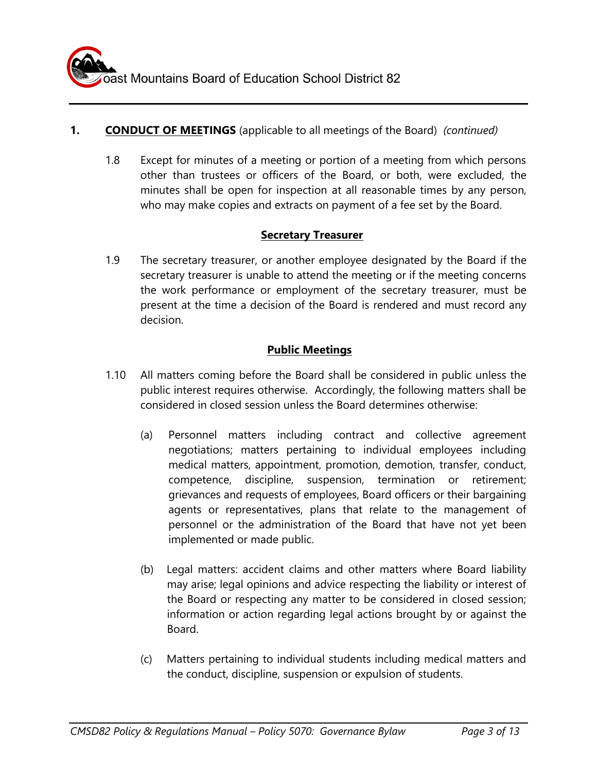# **1. CONDUCT OF MEETINGS** (applicable to all meetings of the Board) *(continued)*

1.8 Except for minutes of a meeting or portion of a meeting from which persons other than trustees or officers of the Board, or both, were excluded, the minutes shall be open for inspection at all reasonable times by any person, who may make copies and extracts on payment of a fee set by the Board.

# **Secretary Treasurer**

1.9 The secretary treasurer, or another employee designated by the Board if the secretary treasurer is unable to attend the meeting or if the meeting concerns the work performance or employment of the secretary treasurer, must be present at the time a decision of the Board is rendered and must record any decision.

# **Public Meetings**

- 1.10 All matters coming before the Board shall be considered in public unless the public interest requires otherwise. Accordingly, the following matters shall be considered in closed session unless the Board determines otherwise:
	- (a) Personnel matters including contract and collective agreement negotiations; matters pertaining to individual employees including medical matters, appointment, promotion, demotion, transfer, conduct, competence, discipline, suspension, termination or retirement; grievances and requests of employees, Board officers or their bargaining agents or representatives, plans that relate to the management of personnel or the administration of the Board that have not yet been implemented or made public.
	- (b) Legal matters: accident claims and other matters where Board liability may arise; legal opinions and advice respecting the liability or interest of the Board or respecting any matter to be considered in closed session; information or action regarding legal actions brought by or against the Board.
	- (c) Matters pertaining to individual students including medical matters and the conduct, discipline, suspension or expulsion of students.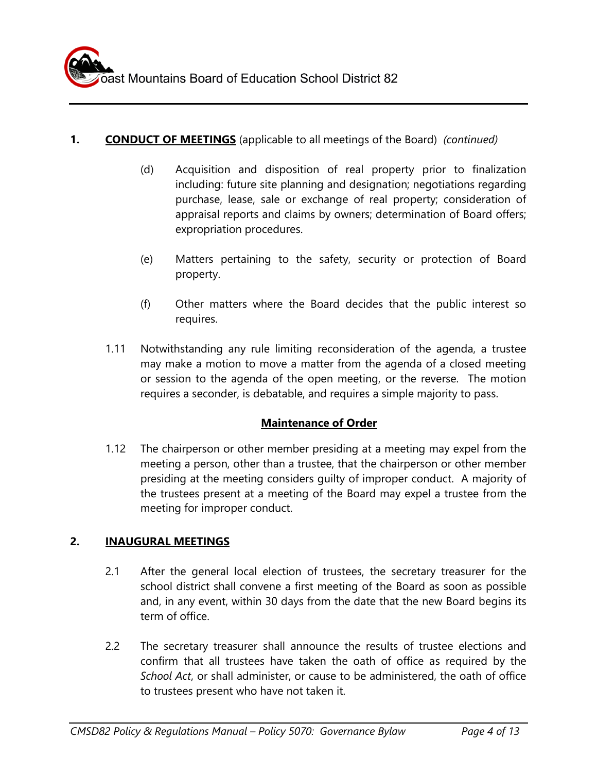# **1. CONDUCT OF MEETINGS** (applicable to all meetings of the Board) *(continued)*

- (d) Acquisition and disposition of real property prior to finalization including: future site planning and designation; negotiations regarding purchase, lease, sale or exchange of real property; consideration of appraisal reports and claims by owners; determination of Board offers; expropriation procedures.
- (e) Matters pertaining to the safety, security or protection of Board property.
- (f) Other matters where the Board decides that the public interest so requires.
- 1.11 Notwithstanding any rule limiting reconsideration of the agenda, a trustee may make a motion to move a matter from the agenda of a closed meeting or session to the agenda of the open meeting, or the reverse. The motion requires a seconder, is debatable, and requires a simple majority to pass.

# **Maintenance of Order**

1.12 The chairperson or other member presiding at a meeting may expel from the meeting a person, other than a trustee, that the chairperson or other member presiding at the meeting considers guilty of improper conduct. A majority of the trustees present at a meeting of the Board may expel a trustee from the meeting for improper conduct.

# **2. INAUGURAL MEETINGS**

- 2.1 After the general local election of trustees, the secretary treasurer for the school district shall convene a first meeting of the Board as soon as possible and, in any event, within 30 days from the date that the new Board begins its term of office.
- 2.2 The secretary treasurer shall announce the results of trustee elections and confirm that all trustees have taken the oath of office as required by the *School Act*, or shall administer, or cause to be administered, the oath of office to trustees present who have not taken it.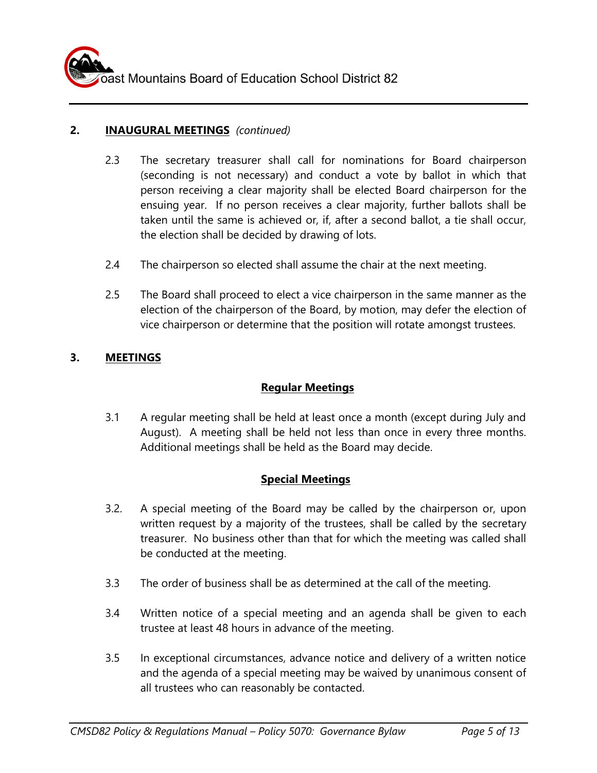

#### **2. INAUGURAL MEETINGS** *(continued)*

- 2.3 The secretary treasurer shall call for nominations for Board chairperson (seconding is not necessary) and conduct a vote by ballot in which that person receiving a clear majority shall be elected Board chairperson for the ensuing year. If no person receives a clear majority, further ballots shall be taken until the same is achieved or, if, after a second ballot, a tie shall occur, the election shall be decided by drawing of lots.
- 2.4 The chairperson so elected shall assume the chair at the next meeting.
- 2.5 The Board shall proceed to elect a vice chairperson in the same manner as the election of the chairperson of the Board, by motion, may defer the election of vice chairperson or determine that the position will rotate amongst trustees.

#### **3. MEETINGS**

#### **Regular Meetings**

3.1 A regular meeting shall be held at least once a month (except during July and August). A meeting shall be held not less than once in every three months. Additional meetings shall be held as the Board may decide.

#### **Special Meetings**

- 3.2. A special meeting of the Board may be called by the chairperson or, upon written request by a majority of the trustees, shall be called by the secretary treasurer. No business other than that for which the meeting was called shall be conducted at the meeting.
- 3.3 The order of business shall be as determined at the call of the meeting.
- 3.4 Written notice of a special meeting and an agenda shall be given to each trustee at least 48 hours in advance of the meeting.
- 3.5 In exceptional circumstances, advance notice and delivery of a written notice and the agenda of a special meeting may be waived by unanimous consent of all trustees who can reasonably be contacted.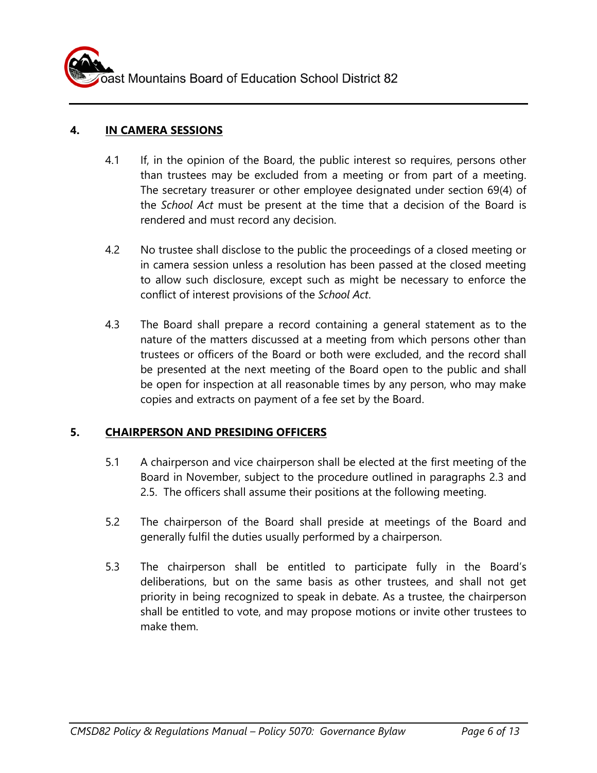ast Mountains Board of Education School District 82

### **4. IN CAMERA SESSIONS**

- 4.1 If, in the opinion of the Board, the public interest so requires, persons other than trustees may be excluded from a meeting or from part of a meeting. The secretary treasurer or other employee designated under section 69(4) of the *School Act* must be present at the time that a decision of the Board is rendered and must record any decision.
- 4.2 No trustee shall disclose to the public the proceedings of a closed meeting or in camera session unless a resolution has been passed at the closed meeting to allow such disclosure, except such as might be necessary to enforce the conflict of interest provisions of the *School Act*.
- 4.3 The Board shall prepare a record containing a general statement as to the nature of the matters discussed at a meeting from which persons other than trustees or officers of the Board or both were excluded, and the record shall be presented at the next meeting of the Board open to the public and shall be open for inspection at all reasonable times by any person, who may make copies and extracts on payment of a fee set by the Board.

# **5. CHAIRPERSON AND PRESIDING OFFICERS**

- 5.1 A chairperson and vice chairperson shall be elected at the first meeting of the Board in November, subject to the procedure outlined in paragraphs 2.3 and 2.5. The officers shall assume their positions at the following meeting.
- 5.2 The chairperson of the Board shall preside at meetings of the Board and generally fulfil the duties usually performed by a chairperson.
- 5.3 The chairperson shall be entitled to participate fully in the Board's deliberations, but on the same basis as other trustees, and shall not get priority in being recognized to speak in debate. As a trustee, the chairperson shall be entitled to vote, and may propose motions or invite other trustees to make them.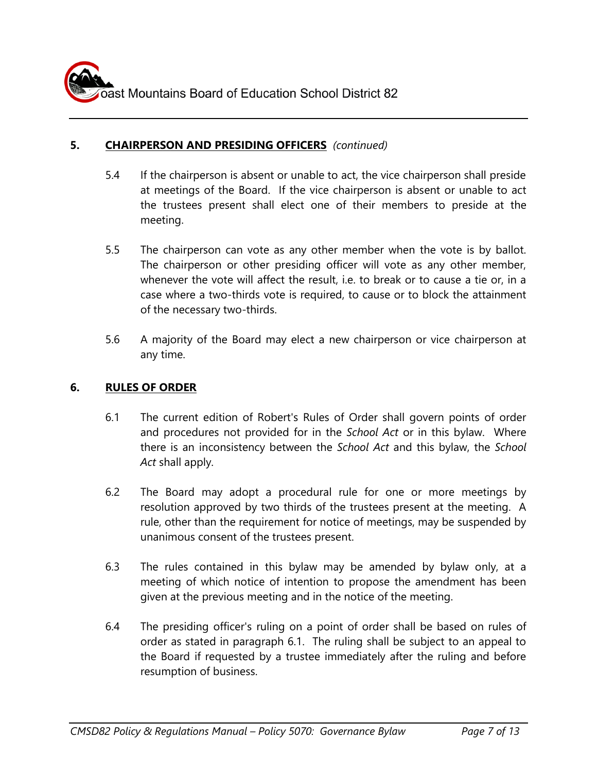### **5. CHAIRPERSON AND PRESIDING OFFICERS** *(continued)*

- 5.4 If the chairperson is absent or unable to act, the vice chairperson shall preside at meetings of the Board. If the vice chairperson is absent or unable to act the trustees present shall elect one of their members to preside at the meeting.
- 5.5 The chairperson can vote as any other member when the vote is by ballot. The chairperson or other presiding officer will vote as any other member, whenever the vote will affect the result, i.e. to break or to cause a tie or, in a case where a two-thirds vote is required, to cause or to block the attainment of the necessary two-thirds.
- 5.6 A majority of the Board may elect a new chairperson or vice chairperson at any time.

#### **6. RULES OF ORDER**

- 6.1 The current edition of Robert's Rules of Order shall govern points of order and procedures not provided for in the *School Act* or in this bylaw. Where there is an inconsistency between the *School Act* and this bylaw, the *School Act* shall apply.
- 6.2 The Board may adopt a procedural rule for one or more meetings by resolution approved by two thirds of the trustees present at the meeting. A rule, other than the requirement for notice of meetings, may be suspended by unanimous consent of the trustees present.
- 6.3 The rules contained in this bylaw may be amended by bylaw only, at a meeting of which notice of intention to propose the amendment has been given at the previous meeting and in the notice of the meeting.
- 6.4 The presiding officer's ruling on a point of order shall be based on rules of order as stated in paragraph 6.1. The ruling shall be subject to an appeal to the Board if requested by a trustee immediately after the ruling and before resumption of business.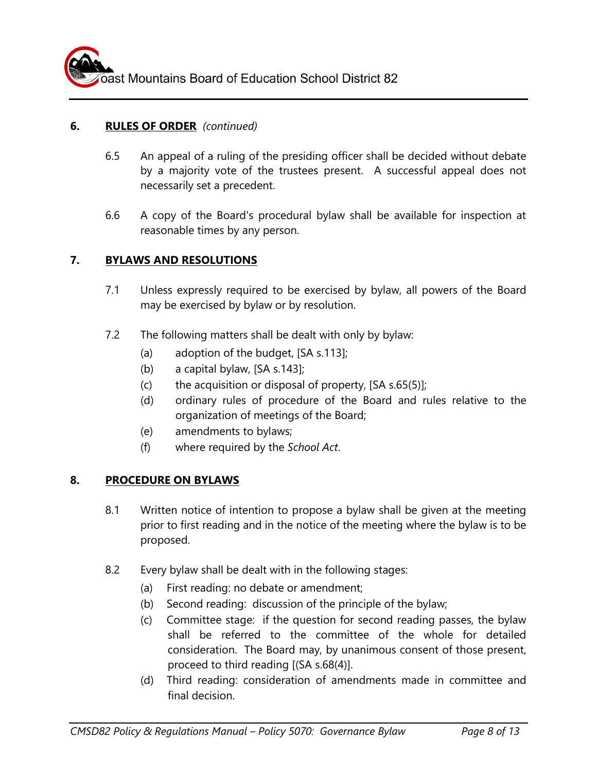# **6. RULES OF ORDER** *(continued)*

- 6.5 An appeal of a ruling of the presiding officer shall be decided without debate by a majority vote of the trustees present. A successful appeal does not necessarily set a precedent.
- 6.6 A copy of the Board's procedural bylaw shall be available for inspection at reasonable times by any person.

#### **7. BYLAWS AND RESOLUTIONS**

- 7.1 Unless expressly required to be exercised by bylaw, all powers of the Board may be exercised by bylaw or by resolution.
- 7.2 The following matters shall be dealt with only by bylaw:
	- (a) adoption of the budget, [SA s.113];
	- (b) a capital bylaw, [SA s.143];
	- (c) the acquisition or disposal of property,  $[SA s.65(5)]$ ;
	- (d) ordinary rules of procedure of the Board and rules relative to the organization of meetings of the Board;
	- (e) amendments to bylaws;
	- (f) where required by the *School Act*.

#### **8. PROCEDURE ON BYLAWS**

- 8.1 Written notice of intention to propose a bylaw shall be given at the meeting prior to first reading and in the notice of the meeting where the bylaw is to be proposed.
- 8.2 Every bylaw shall be dealt with in the following stages:
	- (a) First reading: no debate or amendment;
	- (b) Second reading: discussion of the principle of the bylaw;
	- (c) Committee stage: if the question for second reading passes, the bylaw shall be referred to the committee of the whole for detailed consideration. The Board may, by unanimous consent of those present, proceed to third reading [(SA s.68(4)].
	- (d) Third reading: consideration of amendments made in committee and final decision.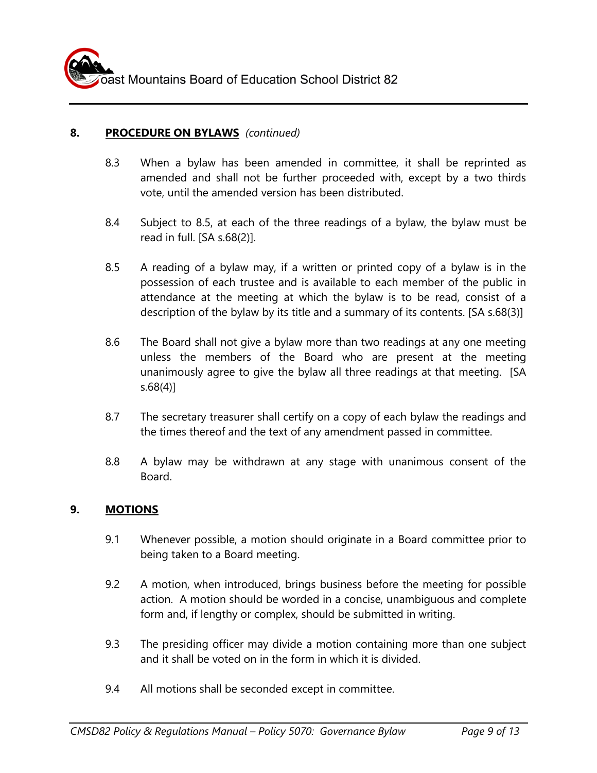# **8. PROCEDURE ON BYLAWS** *(continued)*

- 8.3 When a bylaw has been amended in committee, it shall be reprinted as amended and shall not be further proceeded with, except by a two thirds vote, until the amended version has been distributed.
- 8.4 Subject to 8.5, at each of the three readings of a bylaw, the bylaw must be read in full. [SA s.68(2)].
- 8.5 A reading of a bylaw may, if a written or printed copy of a bylaw is in the possession of each trustee and is available to each member of the public in attendance at the meeting at which the bylaw is to be read, consist of a description of the bylaw by its title and a summary of its contents. [SA s.68(3)]
- 8.6 The Board shall not give a bylaw more than two readings at any one meeting unless the members of the Board who are present at the meeting unanimously agree to give the bylaw all three readings at that meeting. [SA s.68(4)]
- 8.7 The secretary treasurer shall certify on a copy of each bylaw the readings and the times thereof and the text of any amendment passed in committee.
- 8.8 A bylaw may be withdrawn at any stage with unanimous consent of the Board.

#### **9. MOTIONS**

- 9.1 Whenever possible, a motion should originate in a Board committee prior to being taken to a Board meeting.
- 9.2 A motion, when introduced, brings business before the meeting for possible action. A motion should be worded in a concise, unambiguous and complete form and, if lengthy or complex, should be submitted in writing.
- 9.3 The presiding officer may divide a motion containing more than one subject and it shall be voted on in the form in which it is divided.
- 9.4 All motions shall be seconded except in committee.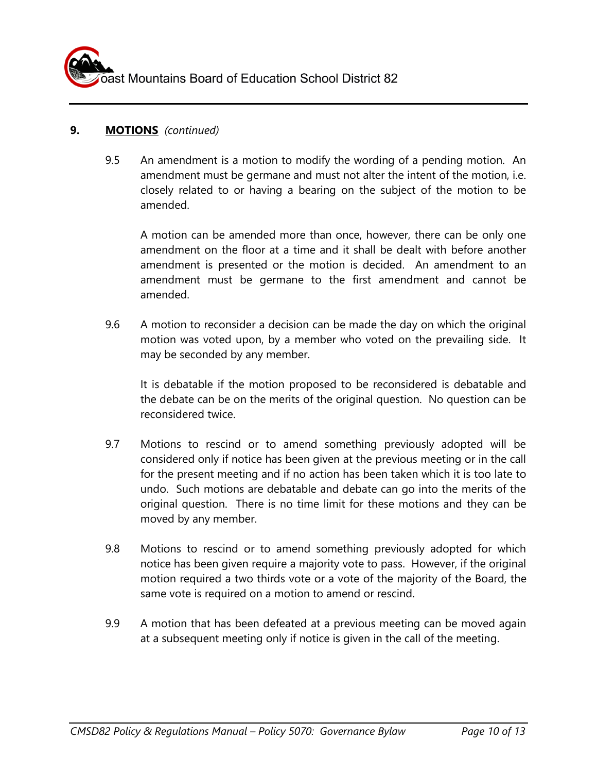

#### **9. MOTIONS** *(continued)*

9.5 An amendment is a motion to modify the wording of a pending motion. An amendment must be germane and must not alter the intent of the motion, i.e. closely related to or having a bearing on the subject of the motion to be amended.

A motion can be amended more than once, however, there can be only one amendment on the floor at a time and it shall be dealt with before another amendment is presented or the motion is decided. An amendment to an amendment must be germane to the first amendment and cannot be amended.

9.6 A motion to reconsider a decision can be made the day on which the original motion was voted upon, by a member who voted on the prevailing side. It may be seconded by any member.

It is debatable if the motion proposed to be reconsidered is debatable and the debate can be on the merits of the original question. No question can be reconsidered twice.

- 9.7 Motions to rescind or to amend something previously adopted will be considered only if notice has been given at the previous meeting or in the call for the present meeting and if no action has been taken which it is too late to undo. Such motions are debatable and debate can go into the merits of the original question. There is no time limit for these motions and they can be moved by any member.
- 9.8 Motions to rescind or to amend something previously adopted for which notice has been given require a majority vote to pass. However, if the original motion required a two thirds vote or a vote of the majority of the Board, the same vote is required on a motion to amend or rescind.
- 9.9 A motion that has been defeated at a previous meeting can be moved again at a subsequent meeting only if notice is given in the call of the meeting.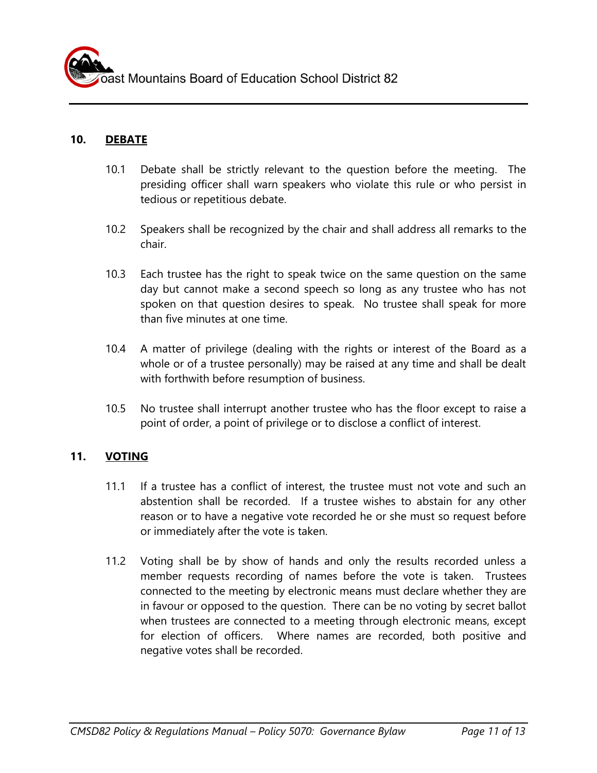#### **10. DEBATE**

- 10.1 Debate shall be strictly relevant to the question before the meeting. The presiding officer shall warn speakers who violate this rule or who persist in tedious or repetitious debate.
- 10.2 Speakers shall be recognized by the chair and shall address all remarks to the chair.
- 10.3 Each trustee has the right to speak twice on the same question on the same day but cannot make a second speech so long as any trustee who has not spoken on that question desires to speak. No trustee shall speak for more than five minutes at one time.
- 10.4 A matter of privilege (dealing with the rights or interest of the Board as a whole or of a trustee personally) may be raised at any time and shall be dealt with forthwith before resumption of business.
- 10.5 No trustee shall interrupt another trustee who has the floor except to raise a point of order, a point of privilege or to disclose a conflict of interest.

# **11. VOTING**

- 11.1 If a trustee has a conflict of interest, the trustee must not vote and such an abstention shall be recorded. If a trustee wishes to abstain for any other reason or to have a negative vote recorded he or she must so request before or immediately after the vote is taken.
- 11.2 Voting shall be by show of hands and only the results recorded unless a member requests recording of names before the vote is taken. Trustees connected to the meeting by electronic means must declare whether they are in favour or opposed to the question. There can be no voting by secret ballot when trustees are connected to a meeting through electronic means, except for election of officers.Where names are recorded, both positive and negative votes shall be recorded.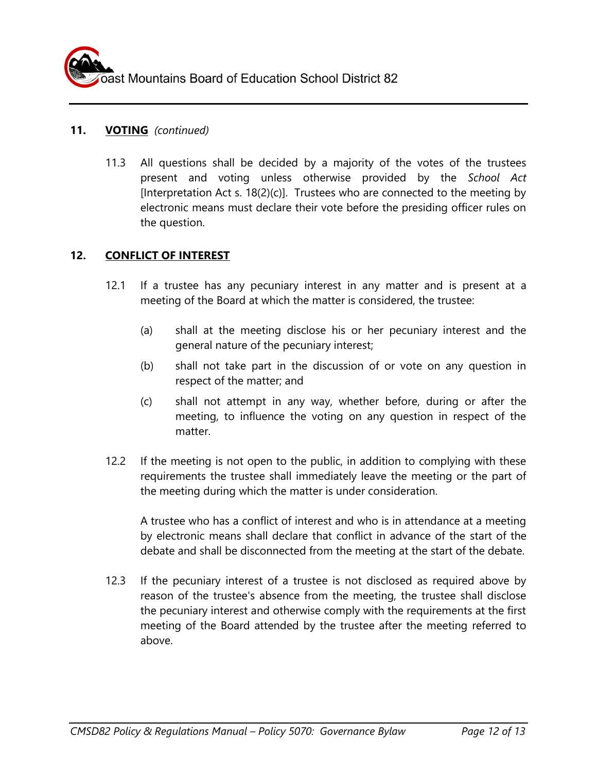#### **11. VOTING** *(continued)*

11.3 All questions shall be decided by a majority of the votes of the trustees present and voting unless otherwise provided by the *School Act*  [Interpretation Act s.  $18(2)(c)$ ]. Trustees who are connected to the meeting by electronic means must declare their vote before the presiding officer rules on the question.

# **12. CONFLICT OF INTEREST**

- 12.1 If a trustee has any pecuniary interest in any matter and is present at a meeting of the Board at which the matter is considered, the trustee:
	- (a) shall at the meeting disclose his or her pecuniary interest and the general nature of the pecuniary interest;
	- (b) shall not take part in the discussion of or vote on any question in respect of the matter; and
	- (c) shall not attempt in any way, whether before, during or after the meeting, to influence the voting on any question in respect of the matter.
- 12.2 If the meeting is not open to the public, in addition to complying with these requirements the trustee shall immediately leave the meeting or the part of the meeting during which the matter is under consideration.

A trustee who has a conflict of interest and who is in attendance at a meeting by electronic means shall declare that conflict in advance of the start of the debate and shall be disconnected from the meeting at the start of the debate.

12.3 If the pecuniary interest of a trustee is not disclosed as required above by reason of the trustee's absence from the meeting, the trustee shall disclose the pecuniary interest and otherwise comply with the requirements at the first meeting of the Board attended by the trustee after the meeting referred to above.